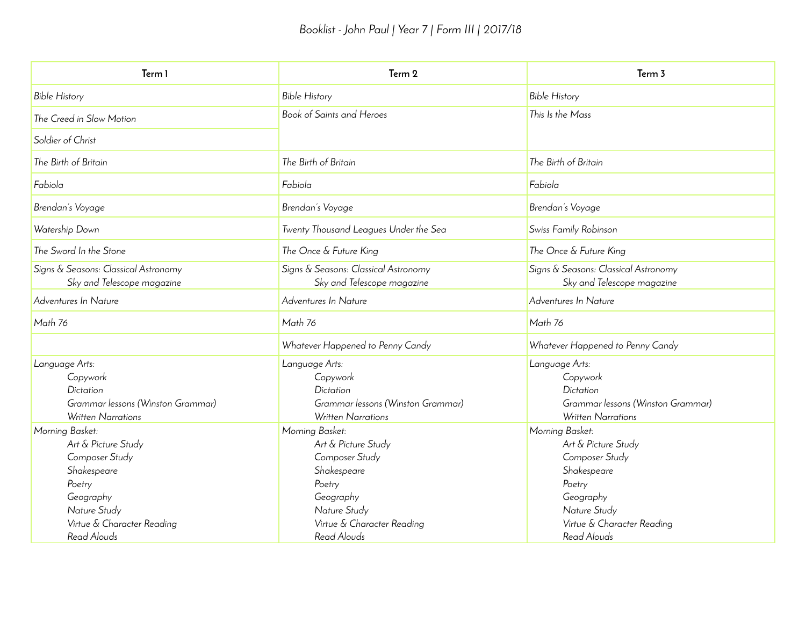| Term 1                                                                                                                                                      | Term 2                                                                                                                                                      | Term 3                                                                                                                                                      |  |  |  |
|-------------------------------------------------------------------------------------------------------------------------------------------------------------|-------------------------------------------------------------------------------------------------------------------------------------------------------------|-------------------------------------------------------------------------------------------------------------------------------------------------------------|--|--|--|
| <b>Bible History</b>                                                                                                                                        | <b>Bible History</b>                                                                                                                                        | <b>Bible History</b>                                                                                                                                        |  |  |  |
| The Creed in Slow Motion                                                                                                                                    | Book of Saints and Heroes                                                                                                                                   | This Is the Mass                                                                                                                                            |  |  |  |
| Soldier of Christ                                                                                                                                           |                                                                                                                                                             |                                                                                                                                                             |  |  |  |
| The Birth of Britain                                                                                                                                        | The Birth of Britain                                                                                                                                        | The Birth of Britain                                                                                                                                        |  |  |  |
| Fabiola                                                                                                                                                     | Fabiola                                                                                                                                                     | Fabiola                                                                                                                                                     |  |  |  |
| Brendan's Voyage                                                                                                                                            | Brendan's Voyage                                                                                                                                            | Brendan's Voyage                                                                                                                                            |  |  |  |
| Watership Down                                                                                                                                              | Twenty Thousand Leagues Under the Sea                                                                                                                       | Swiss Family Robinson                                                                                                                                       |  |  |  |
| The Sword In the Stone                                                                                                                                      | The Once & Future King                                                                                                                                      | The Once & Future King                                                                                                                                      |  |  |  |
| Signs & Seasons: Classical Astronomy<br>Sky and Telescope magazine                                                                                          | Signs & Seasons: Classical Astronomy<br>Sky and Telescope magazine                                                                                          | Signs & Seasons: Classical Astronomy<br>Sky and Telescope magazine                                                                                          |  |  |  |
| Adventures In Nature                                                                                                                                        | Adventures In Nature                                                                                                                                        | Adventures In Nature                                                                                                                                        |  |  |  |
| Math 76                                                                                                                                                     | Math 76                                                                                                                                                     | Math 76                                                                                                                                                     |  |  |  |
|                                                                                                                                                             | Whatever Happened to Penny Candy                                                                                                                            | Whatever Happened to Penny Candy                                                                                                                            |  |  |  |
| Language Arts:<br>Copywork<br>Dictation<br>Grammar lessons (Winston Grammar)<br><b>Written Narrations</b>                                                   | Language Arts:<br>Copywork<br>Dictation<br>Grammar lessons (Winston Grammar)<br><b>Written Narrations</b>                                                   | Language Arts:<br>Copywork<br>Dictation<br>Grammar lessons (Winston Grammar)<br><b>Written Narrations</b>                                                   |  |  |  |
| Morning Basket:<br>Art & Picture Study<br>Composer Study<br>Shakespeare<br>Poetry<br>Geography<br>Nature Study<br>Virtue & Character Reading<br>Read Alouds | Morning Basket:<br>Art & Picture Study<br>Composer Study<br>Shakespeare<br>Poetry<br>Geography<br>Nature Study<br>Virtue & Character Reading<br>Read Alouds | Morning Basket:<br>Art & Picture Study<br>Composer Study<br>Shakespeare<br>Poetry<br>Geography<br>Nature Study<br>Virtue & Character Reading<br>Read Alouds |  |  |  |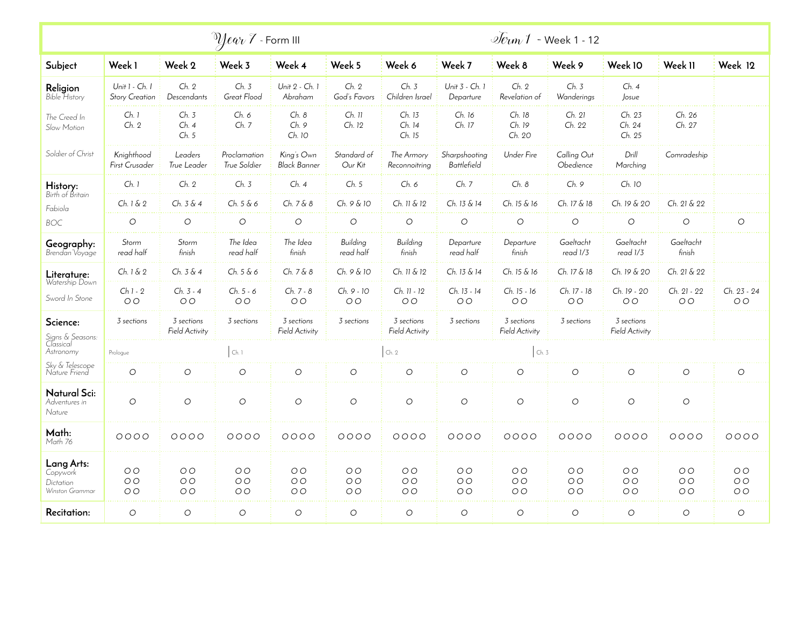| $\mathcal{D}$ lear $\mathcal{F}$ - Form III            |                                                    |                                                    |                                             |                                                    |                                                    |                                                    |                                                    | $\sqrt{e}$ un 1 - Week 1 - 12                      |                                           |                                                    |                                                    |                                                    |
|--------------------------------------------------------|----------------------------------------------------|----------------------------------------------------|---------------------------------------------|----------------------------------------------------|----------------------------------------------------|----------------------------------------------------|----------------------------------------------------|----------------------------------------------------|-------------------------------------------|----------------------------------------------------|----------------------------------------------------|----------------------------------------------------|
| Subject                                                | Week 1                                             | Week 2                                             | Week 3                                      | Week 4                                             | Week 5                                             | Week 6                                             | Week 7                                             | Week 8                                             | Week 9                                    | Week 10                                            | Week II                                            | Week 12                                            |
| <b>Religion</b><br>Bible History                       | Unit $1 - Ch. 1$<br><b>Story Creation</b>          | Ch. 2<br>Descendants                               | Ch. 3<br>Great Flood                        | Unit 2 - Ch. 1<br>Abraham                          | Ch. 2<br>God's Favors                              | Ch. 3<br>Children Israel                           | Unit 3 - Ch. 1<br>Departure                        | Ch. 2<br>Revelation of                             | Ch. 3<br>Wanderings                       | Ch.4<br>Josue                                      |                                                    |                                                    |
| The Creed In<br>Slow Motion                            | Ch.1<br>Ch. 2                                      | Ch. 3<br>Ch.4<br>Ch.5                              | Ch. 6<br>Ch. 7                              | Ch. 8<br>Ch.9<br>Ch. 10                            | $Ch.$ 11<br>Ch. 12                                 | Ch. 13<br>Ch. 14<br>Ch. 15                         | Ch. 16<br>Ch. 17                                   | Ch. 18<br>Ch. 19<br>Ch. 20                         | Ch. 21<br>Ch. 22                          | Ch. 23<br>Ch. 24<br>Ch. 25                         | Ch. 26<br>Ch. 27                                   |                                                    |
| Soldier of Christ                                      | Knighthood<br>First Crusader                       | Leaders<br>True Leader                             | Proclamation<br>True Soldier                | King's Own<br><b>Black Banner</b>                  | Standard of<br>Our Kit                             | The Armory<br>Reconnoitring                        | Sharpshooting<br><b>Battlefield</b>                | <b>Under Fire</b>                                  | Calling Out<br>Obedience                  | Drill<br>Marching                                  | Comradeship                                        |                                                    |
| History:                                               | Ch. 1                                              | Ch. 2                                              | Ch. 3                                       | Ch. 4                                              | Ch. 5                                              | Ch. 6                                              | Ch. 7                                              | Ch. 8                                              | Ch. 9                                     | Ch. 10                                             |                                                    |                                                    |
| Birth of Britain<br>Fabiola                            | Ch. 1 & 2                                          | Ch. 3 & 4                                          | Ch. 5 & 6                                   | Ch. 7 & 8                                          | Ch. 9 & 10                                         | Ch. 11 & 12                                        | Ch. 13 & 14                                        | Ch. 15 & 16                                        | Ch. 17 & 18                               | Ch. 19 & 20                                        | Ch. 21 & 22                                        |                                                    |
| BOC.                                                   | $\bigcirc$                                         | $\bigcirc$                                         | $\circ$                                     | $\bigcirc$                                         | $\circ$                                            | $\circ$                                            | $\circ$                                            | $\bigcirc$                                         | $\circ$                                   | $\circlearrowright$                                | $\bigcirc$                                         | $\bigcirc$                                         |
| Geography:<br>Brendan Voyage                           | Storm<br>read half                                 | Storm<br>finish                                    | The Idea<br>read half                       | The Idea<br>finish                                 | Building<br>read half                              | Building<br>finish                                 | Departure<br>read half                             | Departure<br>finish                                | Gaeltacht<br>read 1/3                     | Gaeltacht<br>read 1/3                              | Gaeltacht<br>finish                                |                                                    |
| Literature:                                            | Ch. 1 & 2                                          | Ch. 3 & 4                                          | Ch. 5 & 6                                   | Ch. 7 & 8                                          | Ch. 9 & 10                                         | Ch. 11 & 12                                        | Ch. 13 & 14                                        | Ch. 15 & 16                                        | Ch. 17 & 18                               | Ch. 19 & 20                                        | Ch. 21 & 22                                        |                                                    |
| Watership Down<br>Sword In Stone                       | $Ch1-2$<br>O <sub>O</sub>                          | Ch. 3 - 4<br>O <sub>O</sub>                        | $Ch. 5 - 6$<br>O <sub>O</sub>               | Ch. 7 - 8<br>O <sub>O</sub>                        | Ch. 9 - 10<br>O <sub>O</sub>                       | Ch. 11 - 12<br>O <sub>O</sub>                      | Ch. 13 - 14<br>O <sub>O</sub>                      | Ch. 15 - 16<br>O <sub>O</sub>                      | Ch. 17 - 18<br>O O                        | Ch. 19 - 20<br>O <sub>O</sub>                      | Ch. 21 - 22<br>O <sub>O</sub>                      | Ch. 23 - 24<br>O <sub>O</sub>                      |
| Science:<br>Signs & Seasons:<br>Classical              | 3 sections                                         | 3 sections<br><b>Field Activity</b>                | 3 sections                                  | 3 sections<br>Field Activity                       | 3 sections                                         | 3 sections<br>Field Activity                       | 3 sections                                         | 3 sections<br>Field Activity                       | 3 sections                                | 3 sections<br><b>Field Activity</b>                |                                                    |                                                    |
| Astronomy                                              | Prologue                                           |                                                    | ch.1                                        |                                                    |                                                    | Ch. 2                                              | ch.3                                               |                                                    |                                           |                                                    |                                                    |                                                    |
| Sky & Telescope<br>Nature Friend                       | $\circ$                                            | $\circlearrowright$                                | $\circ$                                     | $\circ$                                            | $\circ$                                            | $\circ$                                            | $\circ$                                            | $\circ$                                            | $\circ$                                   | $\circlearrowright$                                | $\circ$                                            | $\circ$                                            |
| Natural Sci:<br>Adventures in<br>Nature                | $\circ$                                            | $\circ$                                            | $\circ$                                     | $\circ$                                            | $\circ$                                            | $\circ$                                            | $\circ$                                            | $\circ$                                            | $\circ$                                   | $\circ$                                            | $\circ$                                            |                                                    |
| Math:<br>Math 76                                       | 0000                                               | 0000                                               | 0000                                        | 0000                                               | $0000$                                             | 0000                                               | 0000                                               | 0000                                               | 0000                                      | 0000                                               | 0000                                               | $0000$                                             |
| Lang Arts:<br>Copywork<br>Dictation<br>Winston Grammar | O <sub>O</sub><br>O <sub>O</sub><br>O <sub>O</sub> | O <sub>O</sub><br>O <sub>O</sub><br>O <sub>O</sub> | O <sub>O</sub><br>O <sub>O</sub><br>$\circ$ | O <sub>O</sub><br>O <sub>O</sub><br>O <sub>O</sub> | O <sub>O</sub><br>O <sub>O</sub><br>O <sub>O</sub> | O <sub>O</sub><br>O <sub>O</sub><br>O <sub>O</sub> | O <sub>O</sub><br>O <sub>O</sub><br>O <sub>O</sub> | O <sub>O</sub><br>O <sub>O</sub><br>O <sub>O</sub> | $O O$<br>O <sub>O</sub><br>O <sub>O</sub> | O <sub>O</sub><br>O <sub>O</sub><br>O <sub>O</sub> | O <sub>O</sub><br>O <sub>O</sub><br>O <sub>O</sub> | O <sub>O</sub><br>O <sub>O</sub><br>O <sub>O</sub> |
| <b>Recitation:</b>                                     | $\circ$                                            | $\circ$                                            | $\circ$                                     | $\circlearrowright$                                | $\circ$                                            | $\circ$                                            | $\bigcirc$                                         | $\circ$                                            | $\circ$                                   | $\circlearrowright$                                | $\circ$                                            | $\circ$                                            |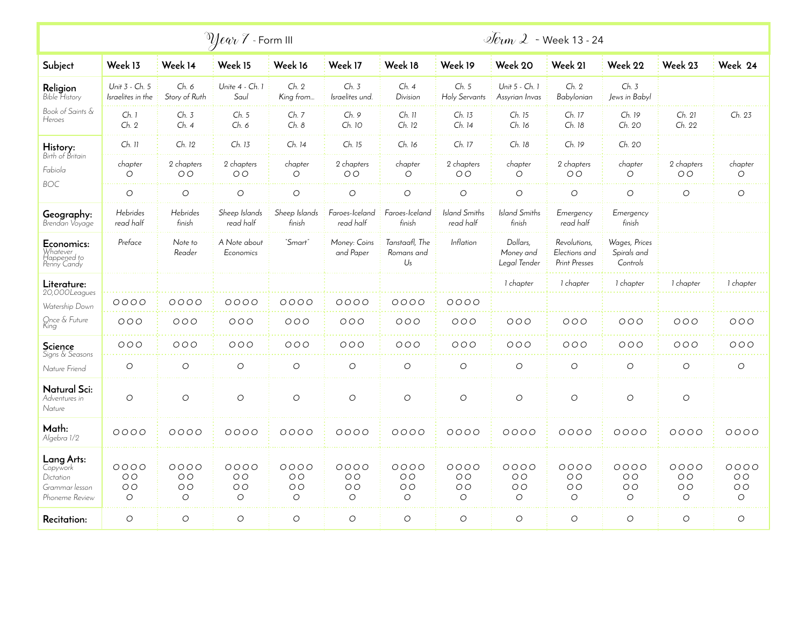| $\mathbb{Z}$ lear $\mathcal Y$ - Form III                               |                                                     |                                                     |                                                     |                                                     |                                                     |                                               |                                                     | $\sqrt{2}$ - Week 13 - 24                           |                                                       |                                                     |                                                     |                                                     |
|-------------------------------------------------------------------------|-----------------------------------------------------|-----------------------------------------------------|-----------------------------------------------------|-----------------------------------------------------|-----------------------------------------------------|-----------------------------------------------|-----------------------------------------------------|-----------------------------------------------------|-------------------------------------------------------|-----------------------------------------------------|-----------------------------------------------------|-----------------------------------------------------|
| Subject                                                                 | Week 13                                             | Week 14                                             | Week 15                                             | Week 16                                             | Week 17                                             | Week 18                                       | Week 19                                             | Week 20                                             | Week 21                                               | Week 22                                             | Week 23                                             | Week 24                                             |
| Religion<br><b>Bible History</b>                                        | Unit 3 - Ch. 5<br>Israelites in the                 | Ch. 6<br>Story of Ruth                              | Unite 4 - Ch. 1<br>Saul                             | Ch. 2<br>King from                                  | Ch. 3<br>Israelites und.                            | Ch.4<br>Division                              | Ch. 5<br>Holy Servants                              | Unit 5 - Ch. 1<br>Assyrian Invas                    | Ch. 2<br>Babylonian                                   | Ch. 3<br>Jews in Babyl                              |                                                     |                                                     |
| Book of Saints &<br>Heroes                                              | Ch. 1<br>Ch. 2                                      | Ch. 3<br>Ch. 4                                      | Ch. 5<br>Ch. 6                                      | Ch. 7<br>Ch. 8                                      | Ch. 9<br>Ch. 10                                     | $Ch.$ 11<br>Ch. 12                            | Ch. 13<br>Ch. 14                                    | Ch. 15<br>Ch. 16                                    | Ch. 17<br>Ch. 18                                      | Ch. 19<br>Ch. 20                                    | Ch. 21<br>Ch. 22                                    | Ch. 23                                              |
| History:                                                                | Ch. 11                                              | Ch. 12                                              | Ch. 13                                              | Ch. 14                                              | Ch. 15                                              | Ch. 16                                        | Ch. 17                                              | Ch. 18                                              | Ch. 19                                                | Ch. 20                                              |                                                     |                                                     |
| Birth of Britain<br>Fabiola<br><b>BOC</b>                               | chapter<br>O                                        | 2 chapters<br>O <sub>O</sub>                        | 2 chapters<br>O <sub>O</sub>                        | chapter<br>$\circ$                                  | 2 chapters<br>O <sub>O</sub>                        | chapter<br>$\circ$                            | 2 chapters<br>O <sub>O</sub>                        | chapter<br>$\circ$                                  | 2 chapters<br>O <sub>O</sub>                          | chapter<br>$\circ$                                  | 2 chapters<br>O <sub>O</sub>                        | chapter<br>$\circ$                                  |
|                                                                         | $\circ$                                             | $\circ$                                             | $\circ$                                             | $\circ$                                             | $\circ$                                             | $\circ$                                       | $\circ$                                             | $\circ$                                             | $\circ$                                               | $\circ$                                             | $\circ$                                             | $\circ$                                             |
| Geography:<br>Brendan Voyage                                            | <b>Hebrides</b><br>read half                        | Hebrides<br>finish                                  | Sheep Islands<br>read half                          | Sheep Islands<br>finish                             | Faroes-Iceland<br>read half                         | Faroes-Iceland<br>finish                      | <b>Island Smiths</b><br>read half                   | <b>Island Smiths</b><br>finish                      | Emergency<br>read half                                | Emergency<br>finish                                 |                                                     |                                                     |
| Economics:<br>Whatever<br>Happened to<br>Penny Candy                    | Preface                                             | Note to<br>Reader                                   | A Note about<br>Economics                           | "Smart'                                             | Money: Coins<br>and Paper                           | Tanstaafl, The<br>Romans and<br>$U_s$         | Inflation                                           | Dollars,<br>Money and<br>Legal Tender               | Revolutions,<br>Elections and<br><b>Print Presses</b> | Wages, Prices<br>Spirals and<br>Controls            |                                                     |                                                     |
| Literature:<br>20,000Leagues                                            |                                                     |                                                     |                                                     |                                                     |                                                     |                                               |                                                     | 1 chapter                                           | 1 chapter                                             | 1 chapter                                           | 1 chapter                                           | 1 chapter                                           |
| Watership Down                                                          | 0000                                                | 0000                                                | 0000                                                | 0000                                                | $0000$                                              | 0000                                          | 0000                                                |                                                     |                                                       |                                                     |                                                     |                                                     |
| Once & Future<br>King                                                   | 000                                                 | 000                                                 | 000                                                 | 000                                                 | 000                                                 | 000                                           | 000                                                 | 000                                                 | 000                                                   | 000                                                 | 000                                                 | 000                                                 |
| Science<br>Signs & Seasons                                              | 000                                                 | 000                                                 | OOO                                                 | 000                                                 | 000                                                 | 000                                           | 000                                                 | 000                                                 | OOO                                                   | 000                                                 | 000                                                 | 000                                                 |
| Nature Friend                                                           | $\bigcirc$                                          | $\circ$                                             | $\circ$                                             | $\circ$                                             | $\circlearrowright$                                 | $\circ$                                       | $\circ$                                             | $\circ$                                             | $\circ$                                               | $\circ$                                             | $\circ$                                             | $\circ$                                             |
| Natural Sci:<br>Adventures in<br>Nature                                 | $\circ$                                             | $\circ$                                             | $\circ$                                             | $\circ$                                             | $\circ$                                             | $\circ$                                       | $\circ$                                             | $\circ$                                             | $\circ$                                               | $\circ$                                             | $\bigcirc$                                          |                                                     |
| Math:<br>Algebra 1/2                                                    | $0000$                                              | 0000                                                | 0000                                                | 0000                                                | $0000$                                              | 0000                                          | 0000                                                | 0000                                                | 0000                                                  | 0000                                                | 0000                                                | 0000                                                |
| Lang Arts:<br>Copywork<br>Dictation<br>Grammar lesson<br>Phoneme Review | 0000<br>O <sub>O</sub><br>O <sub>O</sub><br>$\circ$ | 0000<br>O <sub>O</sub><br>O <sub>O</sub><br>$\circ$ | 0000<br>O <sub>O</sub><br>O <sub>O</sub><br>$\circ$ | 0000<br>O <sub>O</sub><br>O <sub>O</sub><br>$\circ$ | 0000<br>O <sub>O</sub><br>O <sub>O</sub><br>$\circ$ | 0000<br>O <sub>O</sub><br>O <sub>O</sub><br>O | 0000<br>O <sub>O</sub><br>O <sub>O</sub><br>$\circ$ | 0000<br>O <sub>O</sub><br>O <sub>O</sub><br>$\circ$ | 0000<br>O <sub>O</sub><br>O <sub>O</sub><br>$\circ$   | 0000<br>O <sub>O</sub><br>O <sub>O</sub><br>$\circ$ | 0000<br>O <sub>O</sub><br>O <sub>O</sub><br>$\circ$ | 0000<br>O <sub>O</sub><br>O <sub>O</sub><br>$\circ$ |
| Recitation:                                                             | $\circlearrowright$                                 | $\circ$                                             | $\circ$                                             | $\circlearrowright$                                 | $\circ$                                             | $\circlearrowright$                           | $\circ$                                             | $\circlearrowright$                                 | $\circ$                                               | $\circ$                                             | $\circ$                                             | $\circ$                                             |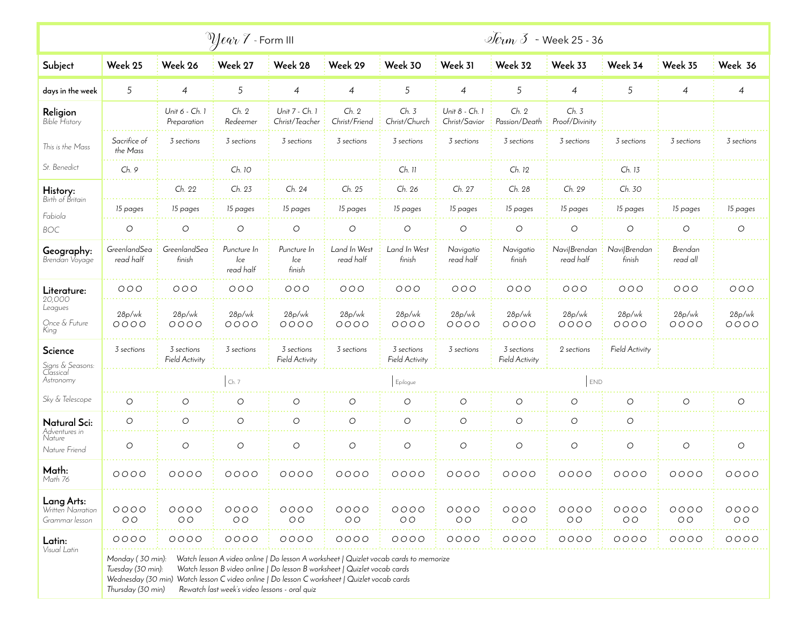|                                                           | $\partial$ <i>Qear</i> $\bar{f}$ - Form III                |                               |                                               |                                                                                                                                                                                                                                                                    |                           |                                     |                                 |                                     | $\overline{\mathcal{L}}$ $\overline{\mathcal{L}}$ week 25 - 36 |                        |                        |                        |  |
|-----------------------------------------------------------|------------------------------------------------------------|-------------------------------|-----------------------------------------------|--------------------------------------------------------------------------------------------------------------------------------------------------------------------------------------------------------------------------------------------------------------------|---------------------------|-------------------------------------|---------------------------------|-------------------------------------|----------------------------------------------------------------|------------------------|------------------------|------------------------|--|
| Subject                                                   | Week 25                                                    | Week 26                       | Week 27                                       | Week 28                                                                                                                                                                                                                                                            | Week 29                   | Week 30                             | Week 31                         | Week 32                             | Week 33                                                        | Week 34                | Week 35                | Week 36                |  |
| days in the week                                          | 5                                                          | $\overline{4}$                | 5                                             | $\overline{4}$                                                                                                                                                                                                                                                     | 4                         | 5                                   | 4                               | 5                                   | 4                                                              | 5                      | 4                      | 4                      |  |
| Religion<br>Bible History                                 |                                                            | Unit 6 - Ch. 1<br>Preparation | Ch. 2<br>Redeemer                             | Unit 7 - Ch. 1<br>Christ/Teacher                                                                                                                                                                                                                                   | Ch. 2<br>Christ/Friend    | Ch. 3<br>Christ/Church              | Unit 8 - Ch. 1<br>Christ/Savior | Ch. 2<br>Passion/Death              | Ch. 3<br>Proof/Divinity                                        |                        |                        |                        |  |
| This is the Mass                                          | Sacrifice of<br>the Mass                                   | 3 sections                    | 3 sections                                    | 3 sections                                                                                                                                                                                                                                                         | 3 sections                | 3 sections                          | 3 sections                      | 3 sections                          | 3 sections                                                     | 3 sections             | 3 sections             | 3 sections             |  |
| St. Benedict                                              | Ch. 9                                                      |                               | Ch. 10                                        |                                                                                                                                                                                                                                                                    |                           | $Ch.$ 11                            |                                 | Ch. 12                              |                                                                | Ch. 13                 |                        |                        |  |
| History:<br>Birth of Britain                              |                                                            | Ch. 22                        | Ch. 23                                        | Ch. 24                                                                                                                                                                                                                                                             | Ch. 25                    | Ch. 26                              | Ch. 27                          | Ch. 28                              | Ch. 29                                                         | Ch. 30                 |                        |                        |  |
| Fabiola                                                   | 15 pages                                                   | 15 pages                      | 15 pages                                      | 15 pages                                                                                                                                                                                                                                                           | 15 pages                  | 15 pages                            | 15 pages                        | 15 pages                            | 15 pages                                                       | 15 pages               | 15 pages               | 15 pages               |  |
| <b>BOC</b>                                                | $\bigcirc$                                                 | $\circlearrowright$           | $\bigcirc$                                    | $\bigcirc$                                                                                                                                                                                                                                                         | $\bigcirc$                | $\circ$                             | $\bigcirc$                      | $\circlearrowright$                 | $\bigcirc$                                                     | $\bigcirc$             | О                      | $\circlearrowright$    |  |
| Geography:<br>Brendan Voyage                              | GreenlandSea<br>read half                                  | GreenlandSea<br>finish        | Puncture In<br>lce<br>read half               | Puncture In<br>lce<br>finish                                                                                                                                                                                                                                       | Land In West<br>read half | Land In West<br>finish              | Navigatio<br>read half          | Navigatio<br>finish                 | Navi Brendan<br>read half                                      | Navi/Brendan<br>finish | Brendan<br>read all    |                        |  |
| Literature:<br>20,000<br>Leagues<br>Once & Future<br>King | 000                                                        | 000                           | 000                                           | 000                                                                                                                                                                                                                                                                | 000                       | 000                                 | 000                             | 000                                 | 000                                                            | 000                    | 000                    | 000                    |  |
|                                                           | 28p/wk<br>0000                                             | 28p/wk<br>0000                | 28p/wk<br>0000                                | 28p/wk<br>0000                                                                                                                                                                                                                                                     | 28p/wk<br>0000            | 28p/wk<br>0000                      | 28p/wk<br>0000                  | 28p/wk<br>0000                      | 28p/wk<br>0000                                                 | 28p/wk<br>0000         | 28p/wk<br>0000         | 28p/wk<br>$0000$       |  |
| Science                                                   | 3 sections                                                 | 3 sections<br>Field Activity  | 3 sections                                    | 3 sections<br>Field Activity                                                                                                                                                                                                                                       | 3 sections                | 3 sections<br><b>Field Activity</b> | 3 sections                      | 3 sections<br><b>Field Activity</b> | 2 sections                                                     | <b>Field Activity</b>  |                        |                        |  |
| Signs & Seasons:<br>Classical<br>Astronomy                |                                                            |                               | Ch. 7                                         |                                                                                                                                                                                                                                                                    |                           | Epilogue                            |                                 |                                     | END                                                            |                        |                        |                        |  |
| Sky & Telescope                                           | O                                                          | О                             | $\circ$                                       | O                                                                                                                                                                                                                                                                  | О                         | $\circ$                             | $\circ$                         | $\bigcirc$                          | O                                                              | O                      | О                      | $\circ$                |  |
| Natural Sci:                                              | O                                                          | O                             | $\circ$                                       | $\circ$                                                                                                                                                                                                                                                            | O                         | O                                   | $\circ$                         | $\circ$                             | O                                                              | O                      |                        |                        |  |
| Adventures in<br>Nature<br>Nature Friend                  | O                                                          | O                             | $\circ$                                       | $\circlearrowright$                                                                                                                                                                                                                                                | $\circlearrowright$       | $\circ$                             | $\circ$                         | $\circ$                             | $\circ$                                                        | O                      | O                      | $\circ$                |  |
| Math:<br>Math 76                                          | 0000                                                       | 0000                          | 0000                                          | 0000                                                                                                                                                                                                                                                               | 0000                      | 0000                                | 0000                            | 0000                                | 0000                                                           | 0000                   | 0000                   | 0000                   |  |
| Lang Arts:<br>Written Narration<br>Grammar lesson         | $0000$<br>O O                                              | 0000<br>O <sub>O</sub>        | 0000<br>O <sub>O</sub>                        | 0000<br>O <sub>O</sub>                                                                                                                                                                                                                                             | 0000<br>O <sub>O</sub>    | 0000<br>O <sub>O</sub>              | $0000$<br>$O O$                 | $0000$<br>O O                       | 0000<br>O <sub>O</sub>                                         | 0000<br>O O            | 0000<br>O <sub>O</sub> | 0000<br>O <sub>O</sub> |  |
| Latin:                                                    | $0000$                                                     | $0000$                        | $0000$                                        | $0000$                                                                                                                                                                                                                                                             | $0000$                    | $0000$                              | $0000$                          | $0000$                              | $0000$                                                         | $0000$                 | $0000$                 | $0000$                 |  |
| Visual Latin                                              | Monday (30 min):<br>Tuesday (30 min):<br>Thursday (30 min) |                               | Rewatch last week's video lessons - oral quiz | Watch lesson A video online   Do lesson A worksheet   Quizlet vocab cards to memorize<br>Watch lesson B video online   Do lesson B worksheet   Quizlet vocab cards<br>Wednesday (30 min) Watch lesson C video online   Do lesson C worksheet   Quizlet vocab cards |                           |                                     |                                 |                                     |                                                                |                        |                        |                        |  |